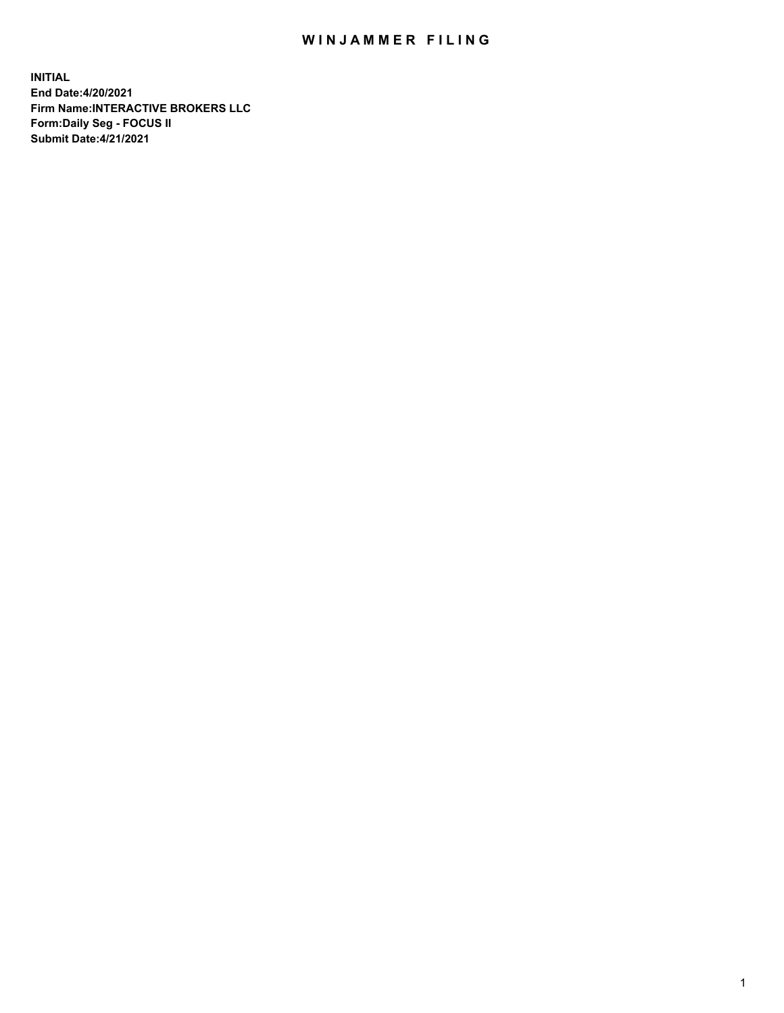## WIN JAMMER FILING

**INITIAL End Date:4/20/2021 Firm Name:INTERACTIVE BROKERS LLC Form:Daily Seg - FOCUS II Submit Date:4/21/2021**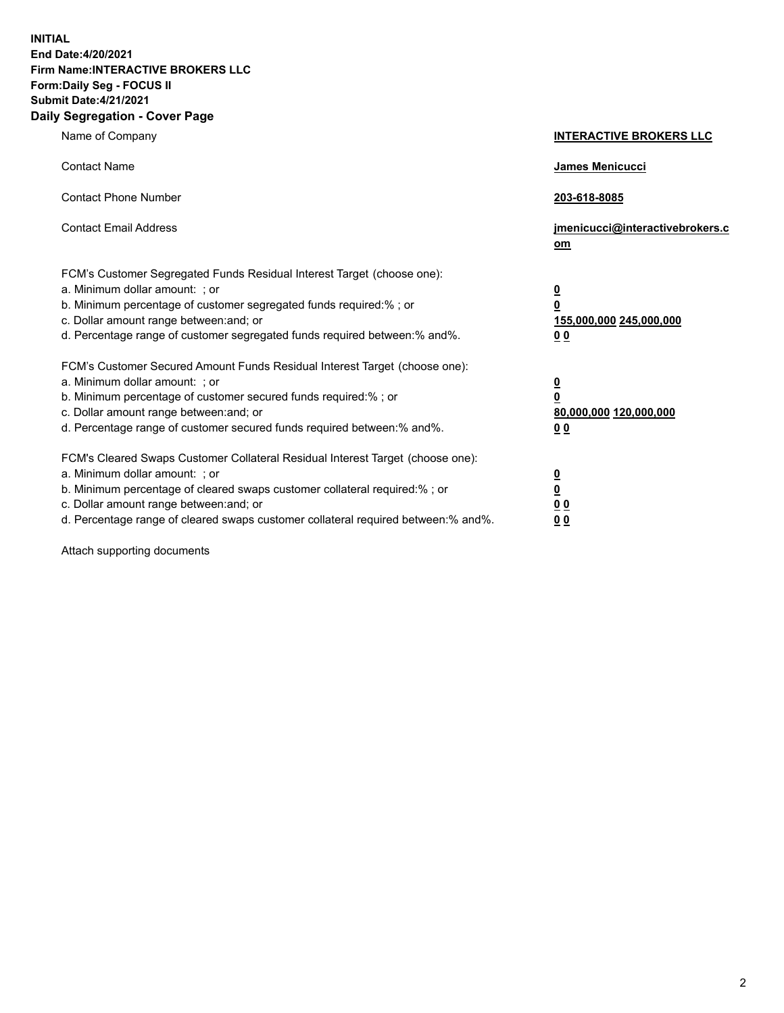**INITIAL End Date:4/20/2021 Firm Name:INTERACTIVE BROKERS LLC Form:Daily Seg - FOCUS II Submit Date:4/21/2021 Daily Segregation - Cover Page**

| Name of Company                                                                                                                                                                                                                                                                                                               | <b>INTERACTIVE BROKERS LLC</b>                                                            |  |
|-------------------------------------------------------------------------------------------------------------------------------------------------------------------------------------------------------------------------------------------------------------------------------------------------------------------------------|-------------------------------------------------------------------------------------------|--|
| <b>Contact Name</b>                                                                                                                                                                                                                                                                                                           | James Menicucci                                                                           |  |
| <b>Contact Phone Number</b>                                                                                                                                                                                                                                                                                                   | 203-618-8085                                                                              |  |
| <b>Contact Email Address</b>                                                                                                                                                                                                                                                                                                  | jmenicucci@interactivebrokers.c<br><u>om</u>                                              |  |
| FCM's Customer Segregated Funds Residual Interest Target (choose one):<br>a. Minimum dollar amount: ; or<br>b. Minimum percentage of customer segregated funds required:% ; or<br>c. Dollar amount range between: and; or<br>d. Percentage range of customer segregated funds required between: % and %.                      | $\overline{\mathbf{0}}$<br>0<br>155,000,000 245,000,000<br>0 <sub>0</sub>                 |  |
| FCM's Customer Secured Amount Funds Residual Interest Target (choose one):<br>a. Minimum dollar amount: ; or<br>b. Minimum percentage of customer secured funds required:%; or<br>c. Dollar amount range between: and; or<br>d. Percentage range of customer secured funds required between:% and%.                           | <u>0</u><br>$\overline{\mathbf{0}}$<br>80,000,000 120,000,000<br>00                       |  |
| FCM's Cleared Swaps Customer Collateral Residual Interest Target (choose one):<br>a. Minimum dollar amount: ; or<br>b. Minimum percentage of cleared swaps customer collateral required:%; or<br>c. Dollar amount range between: and; or<br>d. Percentage range of cleared swaps customer collateral required between:% and%. | <u>0</u><br>$\underline{\mathbf{0}}$<br>$\underline{0}$ $\underline{0}$<br>0 <sub>0</sub> |  |

Attach supporting documents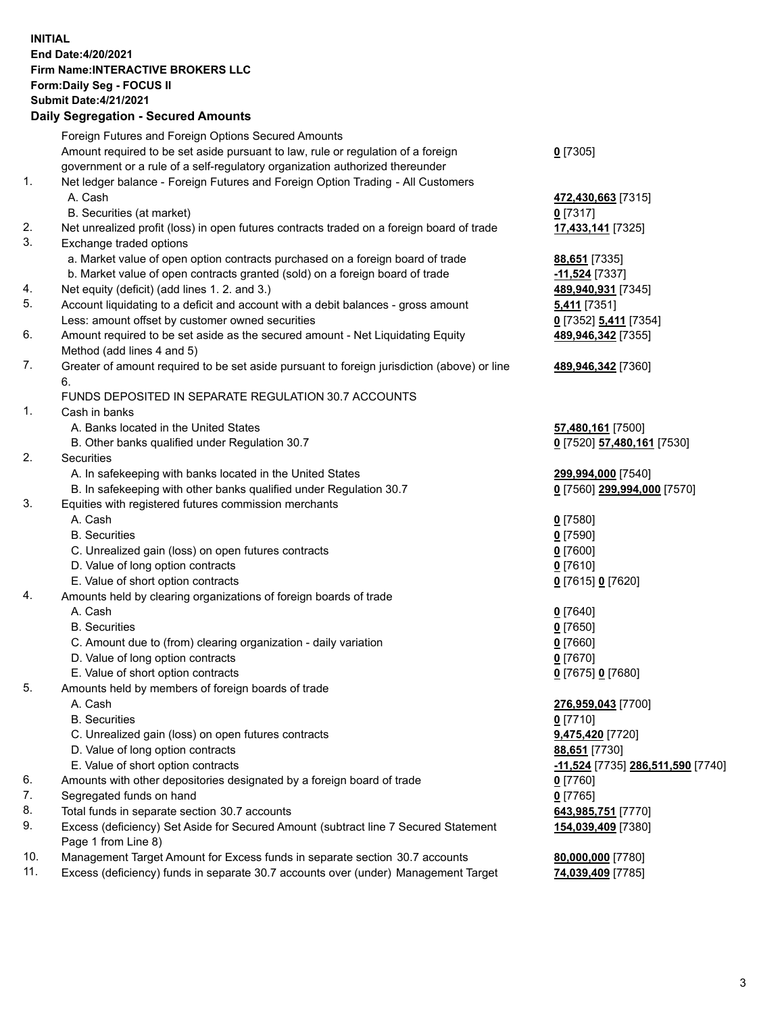**INITIAL End Date:4/20/2021 Firm Name:INTERACTIVE BROKERS LLC Form:Daily Seg - FOCUS II Submit Date:4/21/2021 Daily Segregation - Secured Amounts**

## Foreign Futures and Foreign Options Secured Amounts Amount required to be set aside pursuant to law, rule or regulation of a foreign government or a rule of a self-regulatory organization authorized thereunder **0** [7305] 1. Net ledger balance - Foreign Futures and Foreign Option Trading - All Customers A. Cash **472,430,663** [7315] B. Securities (at market) **0** [7317] 2. Net unrealized profit (loss) in open futures contracts traded on a foreign board of trade **17,433,141** [7325] 3. Exchange traded options a. Market value of open option contracts purchased on a foreign board of trade **88,651** [7335] b. Market value of open contracts granted (sold) on a foreign board of trade **-11,524** [7337] 4. Net equity (deficit) (add lines 1. 2. and 3.) **489,940,931** [7345] 5. Account liquidating to a deficit and account with a debit balances - gross amount **5,411** [7351] Less: amount offset by customer owned securities **0** [7352] **5,411** [7354] 6. Amount required to be set aside as the secured amount - Net Liquidating Equity Method (add lines 4 and 5) **489,946,342** [7355] 7. Greater of amount required to be set aside pursuant to foreign jurisdiction (above) or line 6. **489,946,342** [7360] FUNDS DEPOSITED IN SEPARATE REGULATION 30.7 ACCOUNTS 1. Cash in banks A. Banks located in the United States **57,480,161** [7500] B. Other banks qualified under Regulation 30.7 **0** [7520] **57,480,161** [7530] 2. Securities A. In safekeeping with banks located in the United States **299,994,000** [7540] B. In safekeeping with other banks qualified under Regulation 30.7 **0** [7560] **299,994,000** [7570] 3. Equities with registered futures commission merchants A. Cash **0** [7580] B. Securities **0** [7590] C. Unrealized gain (loss) on open futures contracts **0** [7600] D. Value of long option contracts **0** [7610] E. Value of short option contracts **0** [7615] **0** [7620] 4. Amounts held by clearing organizations of foreign boards of trade A. Cash **0** [7640] B. Securities **0** [7650] C. Amount due to (from) clearing organization - daily variation **0** [7660] D. Value of long option contracts **0** [7670] E. Value of short option contracts **0** [7675] **0** [7680] 5. Amounts held by members of foreign boards of trade A. Cash **276,959,043** [7700] B. Securities **0** [7710] C. Unrealized gain (loss) on open futures contracts **9,475,420** [7720] D. Value of long option contracts **88,651** [7730] E. Value of short option contracts **-11,524** [7735] **286,511,590** [7740] 6. Amounts with other depositories designated by a foreign board of trade **0** [7760] 7. Segregated funds on hand **0** [7765] 8. Total funds in separate section 30.7 accounts **643,985,751** [7770] 9. Excess (deficiency) Set Aside for Secured Amount (subtract line 7 Secured Statement Page 1 from Line 8) **154,039,409** [7380] 10. Management Target Amount for Excess funds in separate section 30.7 accounts **80,000,000** [7780] 11. Excess (deficiency) funds in separate 30.7 accounts over (under) Management Target **74,039,409** [7785]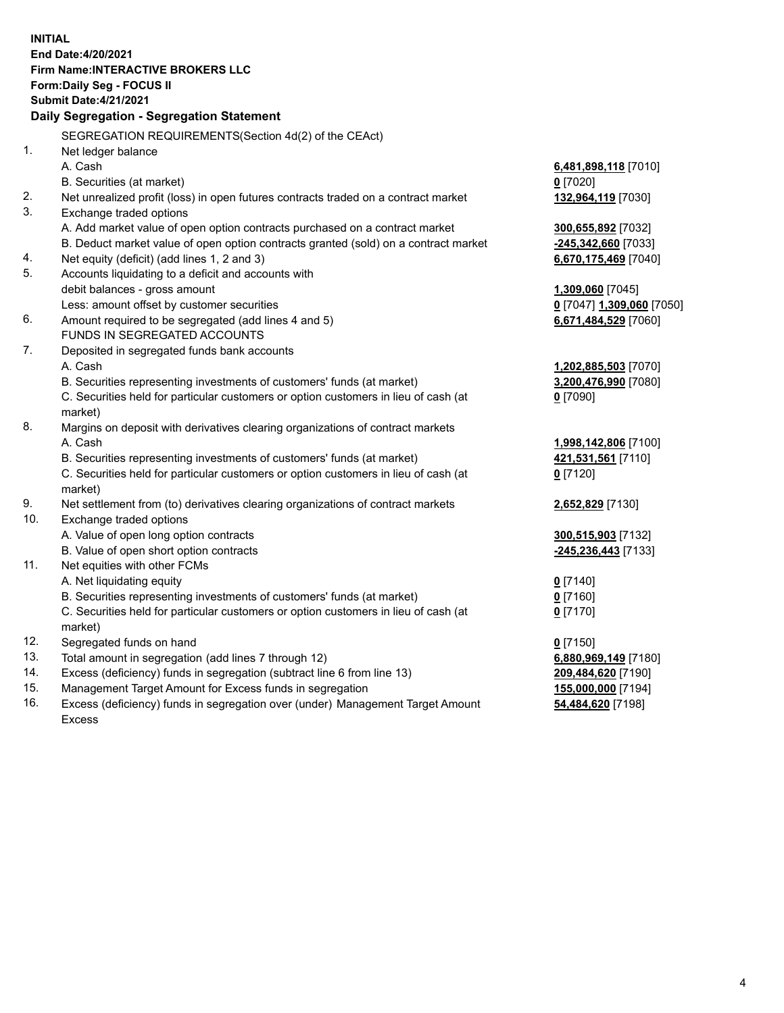**INITIAL End Date:4/20/2021 Firm Name:INTERACTIVE BROKERS LLC Form:Daily Seg - FOCUS II Submit Date:4/21/2021 Daily Segregation - Segregation Statement** SEGREGATION REQUIREMENTS(Section 4d(2) of the CEAct) 1. Net ledger balance A. Cash **6,481,898,118** [7010] B. Securities (at market) **0** [7020] 2. Net unrealized profit (loss) in open futures contracts traded on a contract market **132,964,119** [7030] 3. Exchange traded options A. Add market value of open option contracts purchased on a contract market **300,655,892** [7032] B. Deduct market value of open option contracts granted (sold) on a contract market **-245,342,660** [7033] 4. Net equity (deficit) (add lines 1, 2 and 3) **6,670,175,469** [7040] 5. Accounts liquidating to a deficit and accounts with debit balances - gross amount **1,309,060** [7045] Less: amount offset by customer securities **0** [7047] **1,309,060** [7050] 6. Amount required to be segregated (add lines 4 and 5) **6,671,484,529** [7060] FUNDS IN SEGREGATED ACCOUNTS 7. Deposited in segregated funds bank accounts A. Cash **1,202,885,503** [7070] B. Securities representing investments of customers' funds (at market) **3,200,476,990** [7080] C. Securities held for particular customers or option customers in lieu of cash (at market) **0** [7090] 8. Margins on deposit with derivatives clearing organizations of contract markets A. Cash **1,998,142,806** [7100] B. Securities representing investments of customers' funds (at market) **421,531,561** [7110] C. Securities held for particular customers or option customers in lieu of cash (at market) **0** [7120] 9. Net settlement from (to) derivatives clearing organizations of contract markets **2,652,829** [7130] 10. Exchange traded options A. Value of open long option contracts **300,515,903** [7132] B. Value of open short option contracts **-245,236,443** [7133] 11. Net equities with other FCMs A. Net liquidating equity **0** [7140] B. Securities representing investments of customers' funds (at market) **0** [7160] C. Securities held for particular customers or option customers in lieu of cash (at market) **0** [7170] 12. Segregated funds on hand **0** [7150] 13. Total amount in segregation (add lines 7 through 12) **6,880,969,149** [7180] 14. Excess (deficiency) funds in segregation (subtract line 6 from line 13) **209,484,620** [7190] 15. Management Target Amount for Excess funds in segregation **155,000,000** [7194]

16. Excess (deficiency) funds in segregation over (under) Management Target Amount Excess

**54,484,620** [7198]